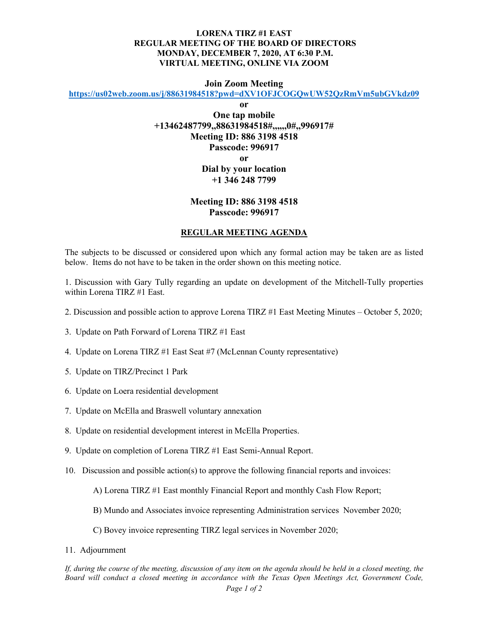## **LORENA TIRZ #1 EAST REGULAR MEETING OF THE BOARD OF DIRECTORS MONDAY, DECEMBER 7, 2020, AT 6:30 P.M. VIRTUAL MEETING, ONLINE VIA ZOOM**

## **Join Zoom Meeting**

**<https://us02web.zoom.us/j/88631984518?pwd=dXV1OFJCOGQwUW52QzRmVm5ubGVkdz09>**

**or**

**One tap mobile +13462487799,,88631984518#,,,,,,0#,,996917# Meeting ID: 886 3198 4518 Passcode: 996917 or Dial by your location +1 346 248 7799**

## **Meeting ID: 886 3198 4518 Passcode: 996917**

## **REGULAR MEETING AGENDA**

The subjects to be discussed or considered upon which any formal action may be taken are as listed below. Items do not have to be taken in the order shown on this meeting notice.

1. Discussion with Gary Tully regarding an update on development of the Mitchell-Tully properties within Lorena TIRZ #1 East.

- 2. Discussion and possible action to approve Lorena TIRZ #1 East Meeting Minutes October 5, 2020;
- 3. Update on Path Forward of Lorena TIRZ #1 East
- 4. Update on Lorena TIRZ #1 East Seat #7 (McLennan County representative)
- 5. Update on TIRZ/Precinct 1 Park
- 6. Update on Loera residential development
- 7. Update on McElla and Braswell voluntary annexation
- 8. Update on residential development interest in McElla Properties.
- 9. Update on completion of Lorena TIRZ #1 East Semi-Annual Report.
- 10. Discussion and possible action(s) to approve the following financial reports and invoices:

A) Lorena TIRZ #1 East monthly Financial Report and monthly Cash Flow Report;

- B) Mundo and Associates invoice representing Administration services November 2020;
- C) Bovey invoice representing TIRZ legal services in November 2020;
- 11. Adjournment

*If, during the course of the meeting, discussion of any item on the agenda should be held in a closed meeting, the Board will conduct a closed meeting in accordance with the Texas Open Meetings Act, Government Code,*